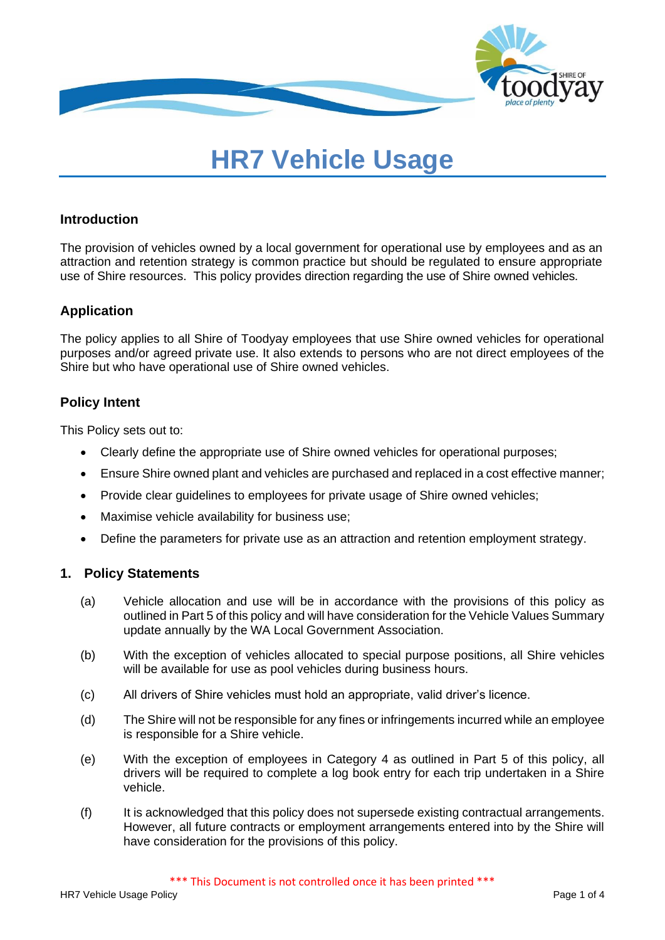

# **HR7 Vehicle Usage**

## **Introduction**

The provision of vehicles owned by a local government for operational use by employees and as an attraction and retention strategy is common practice but should be regulated to ensure appropriate use of Shire resources. This policy provides direction regarding the use of Shire owned vehicles.

# **Application**

The policy applies to all Shire of Toodyay employees that use Shire owned vehicles for operational purposes and/or agreed private use. It also extends to persons who are not direct employees of the Shire but who have operational use of Shire owned vehicles.

## **Policy Intent**

This Policy sets out to:

- Clearly define the appropriate use of Shire owned vehicles for operational purposes;
- Ensure Shire owned plant and vehicles are purchased and replaced in a cost effective manner;
- Provide clear guidelines to employees for private usage of Shire owned vehicles;
- Maximise vehicle availability for business use;
- Define the parameters for private use as an attraction and retention employment strategy.

#### **1. Policy Statements**

- (a) Vehicle allocation and use will be in accordance with the provisions of this policy as outlined in Part 5 of this policy and will have consideration for the Vehicle Values Summary update annually by the WA Local Government Association.
- (b) With the exception of vehicles allocated to special purpose positions, all Shire vehicles will be available for use as pool vehicles during business hours.
- (c) All drivers of Shire vehicles must hold an appropriate, valid driver's licence.
- (d) The Shire will not be responsible for any fines or infringements incurred while an employee is responsible for a Shire vehicle.
- (e) With the exception of employees in Category 4 as outlined in Part 5 of this policy, all drivers will be required to complete a log book entry for each trip undertaken in a Shire vehicle.
- (f) It is acknowledged that this policy does not supersede existing contractual arrangements. However, all future contracts or employment arrangements entered into by the Shire will have consideration for the provisions of this policy.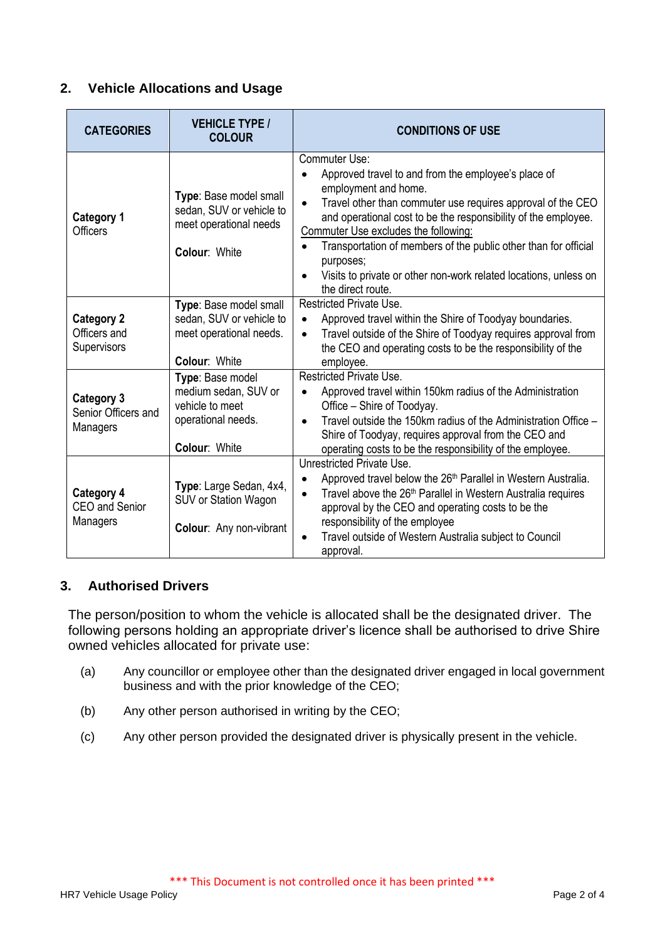# **2. Vehicle Allocations and Usage**

| <b>CATEGORIES</b>                                      | <b>VEHICLE TYPE /</b><br><b>COLOUR</b>                                                             | <b>CONDITIONS OF USE</b>                                                                                                                                                                                                                                                                                                                                                                                                                                    |
|--------------------------------------------------------|----------------------------------------------------------------------------------------------------|-------------------------------------------------------------------------------------------------------------------------------------------------------------------------------------------------------------------------------------------------------------------------------------------------------------------------------------------------------------------------------------------------------------------------------------------------------------|
| <b>Category 1</b><br><b>Officers</b>                   | Type: Base model small<br>sedan, SUV or vehicle to<br>meet operational needs<br>Colour: White      | Commuter Use:<br>Approved travel to and from the employee's place of<br>employment and home.<br>Travel other than commuter use requires approval of the CEO<br>$\bullet$<br>and operational cost to be the responsibility of the employee.<br>Commuter Use excludes the following:<br>Transportation of members of the public other than for official<br>purposes;<br>Visits to private or other non-work related locations, unless on<br>the direct route. |
| <b>Category 2</b><br>Officers and<br>Supervisors       | Type: Base model small<br>sedan, SUV or vehicle to<br>meet operational needs.<br>Colour: White     | <b>Restricted Private Use.</b><br>Approved travel within the Shire of Toodyay boundaries.<br>$\bullet$<br>Travel outside of the Shire of Toodyay requires approval from<br>$\bullet$<br>the CEO and operating costs to be the responsibility of the<br>employee.                                                                                                                                                                                            |
| <b>Category 3</b><br>Senior Officers and<br>Managers   | Type: Base model<br>medium sedan, SUV or<br>vehicle to meet<br>operational needs.<br>Colour: White | Restricted Private Use.<br>Approved travel within 150km radius of the Administration<br>$\bullet$<br>Office - Shire of Toodyay.<br>Travel outside the 150km radius of the Administration Office -<br>$\bullet$<br>Shire of Toodyay, requires approval from the CEO and<br>operating costs to be the responsibility of the employee.                                                                                                                         |
| <b>Category 4</b><br><b>CEO</b> and Senior<br>Managers | Type: Large Sedan, 4x4,<br>SUV or Station Wagon<br>Colour: Any non-vibrant                         | Unrestricted Private Use.<br>Approved travel below the 26 <sup>th</sup> Parallel in Western Australia.<br>Travel above the 26 <sup>th</sup> Parallel in Western Australia requires<br>$\bullet$<br>approval by the CEO and operating costs to be the<br>responsibility of the employee<br>Travel outside of Western Australia subject to Council<br>approval.                                                                                               |

# **3. Authorised Drivers**

The person/position to whom the vehicle is allocated shall be the designated driver. The following persons holding an appropriate driver's licence shall be authorised to drive Shire owned vehicles allocated for private use:

- (a) Any councillor or employee other than the designated driver engaged in local government business and with the prior knowledge of the CEO;
- (b) Any other person authorised in writing by the CEO;
- (c) Any other person provided the designated driver is physically present in the vehicle.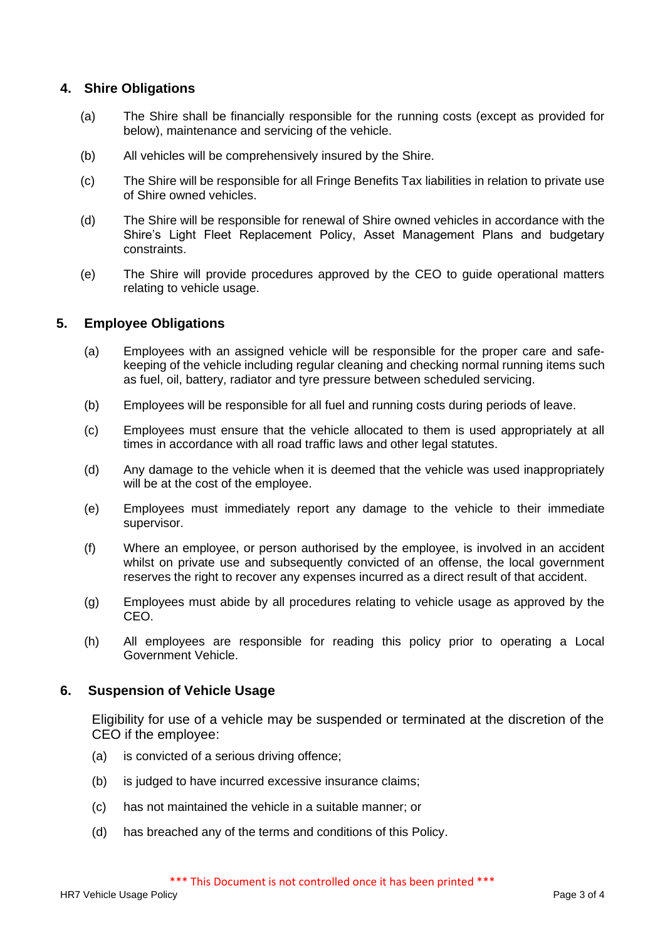## **4. Shire Obligations**

- (a) The Shire shall be financially responsible for the running costs (except as provided for below), maintenance and servicing of the vehicle.
- (b) All vehicles will be comprehensively insured by the Shire.
- (c) The Shire will be responsible for all Fringe Benefits Tax liabilities in relation to private use of Shire owned vehicles.
- (d) The Shire will be responsible for renewal of Shire owned vehicles in accordance with the Shire's Light Fleet Replacement Policy, Asset Management Plans and budgetary constraints.
- (e) The Shire will provide procedures approved by the CEO to guide operational matters relating to vehicle usage.

## **5. Employee Obligations**

- (a) Employees with an assigned vehicle will be responsible for the proper care and safekeeping of the vehicle including regular cleaning and checking normal running items such as fuel, oil, battery, radiator and tyre pressure between scheduled servicing.
- (b) Employees will be responsible for all fuel and running costs during periods of leave.
- (c) Employees must ensure that the vehicle allocated to them is used appropriately at all times in accordance with all road traffic laws and other legal statutes.
- (d) Any damage to the vehicle when it is deemed that the vehicle was used inappropriately will be at the cost of the employee.
- (e) Employees must immediately report any damage to the vehicle to their immediate supervisor.
- (f) Where an employee, or person authorised by the employee, is involved in an accident whilst on private use and subsequently convicted of an offense, the local government reserves the right to recover any expenses incurred as a direct result of that accident.
- (g) Employees must abide by all procedures relating to vehicle usage as approved by the CEO.
- (h) All employees are responsible for reading this policy prior to operating a Local Government Vehicle.

#### **6. Suspension of Vehicle Usage**

Eligibility for use of a vehicle may be suspended or terminated at the discretion of the CEO if the employee:

- (a) is convicted of a serious driving offence;
- (b) is judged to have incurred excessive insurance claims;
- (c) has not maintained the vehicle in a suitable manner; or
- (d) has breached any of the terms and conditions of this Policy.